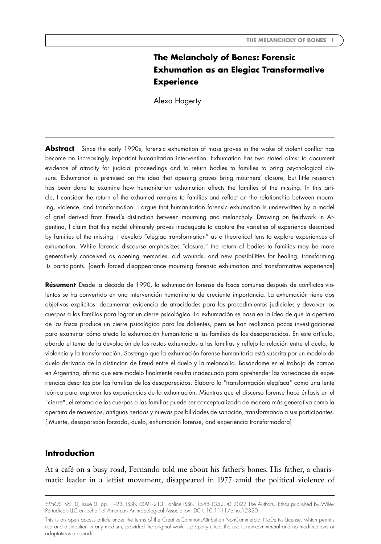# **The Melancholy of Bones: Forensic Exhumation as an Elegiac Transformative Experience**

Alexa Hagerty

**Abstract** Since the early 1990s, forensic exhumation of mass graves in the wake of violent conflict has become an increasingly important humanitarian intervention. Exhumation has two stated aims: to document evidence of atrocity for judicial proceedings and to return bodies to families to bring psychological closure. Exhumation is premised on the idea that opening graves bring mourners' closure, but little research has been done to examine how humanitarian exhumation affects the families of the missing. In this article, I consider the return of the exhumed remains to families and reflect on the relationship between mourning, violence, and transformation. I argue that humanitarian forensic exhumation is underwritten by a model of grief derived from Freud's distinction between mourning and melancholy. Drawing on fieldwork in Argentina, I claim that this model ultimately proves inadequate to capture the varieties of experience described by families of the missing. I develop "elegiac transformation" as a theoretical lens to explore experiences of exhumation. While forensic discourse emphasizes "closure," the return of bodies to families may be more generatively conceived as opening memories, old wounds, and new possibilities for healing, transforming its participants. [death forced disappearance mourning forensic exhumation and transformative experience]

**Résument** Desde la década de 1990, la exhumación forense de fosas comunes después de conflictos violentos se ha convertido en una intervención humanitaria de creciente importancia. La exhumación tiene dos objetivos explícitos: documentar evidencia de atrocidades para los procedimientos judiciales y devolver los cuerpos a las familias para lograr un cierre psicológico. La exhumación se basa en la idea de que la apertura de las fosas produce un cierre psicológico para los dolientes, pero se han realizado pocas investigaciones para examinar cómo afecta la exhumación humanitaria a las familias de los desaparecidos. En este artículo, abordo el tema de la devolución de los restos exhumados a las familias y reflejo la relación entre el duelo, la violencia y la transformación. Sostengo que la exhumación forense humanitaria está suscrita por un modelo de duelo derivado de la distinción de Freud entre el duelo y la melancolía. Basándome en el trabajo de campo en Argentina, afirmo que este modelo finalmente resulta inadecuado para aprehender las variedades de experiencias descritas por las familias de los desaparecidos. Elaboro la "transformación elegíaca" como una lente teórica para explorar las experiencias de la exhumación. Mientras que el discurso forense hace énfasis en el "cierre", el retorno de los cuerpos a las familias puede ser conceptualizado de manera más generativa como la apertura de recuerdos, antiguas heridas y nuevas posibilidades de sanación, transformando a sus participantes. [ Muerte, desaparición forzada, duelo, exhumación forense, and experiencia transformadora]

## **Introduction**

At a café on a busy road, Fernando told me about his father's bones. His father, a charismatic leader in a leftist movement, disappeared in 1977 amid the political violence of

*ETHOS*, Vol. 0, Issue 0, pp. 1–23, ISSN 0091-2131 online ISSN 1548-1352. © 2022 The Authors. Ethos published by Wiley Periodicals LLC on behalf of American Anthropological Association. DOI: 10.1111/etho.12320

This is an open access article under the terms of the [CreativeCommonsAttribution-NonCommercial-NoDerivs](http://creativecommons.org/licenses/by-nc-nd/4.0/) License, which permits use and distribution in any medium, provided the original work is properly cited, the use is non-commercial and no modifications or adaptations are made.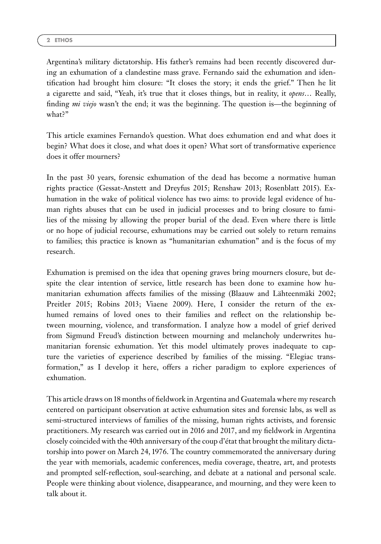Argentina's military dictatorship. His father's remains had been recently discovered during an exhumation of a clandestine mass grave. Fernando said the exhumation and identification had brought him closure: "It closes the story; it ends the grief." Then he lit a cigarette and said, "Yeah, it's true that it closes things, but in reality, it *opens*… Really, finding *mi viejo* wasn't the end; it was the beginning. The question is—the beginning of what?"

This article examines Fernando's question. What does exhumation end and what does it begin? What does it close, and what does it open? What sort of transformative experience does it offer mourners?

In the past 30 years, forensic exhumation of the dead has become a normative human rights practice (Gessat-Anstett and Dreyfus 2015; Renshaw 2013; Rosenblatt 2015). Exhumation in the wake of political violence has two aims: to provide legal evidence of human rights abuses that can be used in judicial processes and to bring closure to families of the missing by allowing the proper burial of the dead. Even where there is little or no hope of judicial recourse, exhumations may be carried out solely to return remains to families; this practice is known as "humanitarian exhumation" and is the focus of my research.

Exhumation is premised on the idea that opening graves bring mourners closure, but despite the clear intention of service, little research has been done to examine how humanitarian exhumation affects families of the missing (Blaauw and Lähteenmäki 2002; Preitler 2015; Robins 2013; Viaene 2009). Here, I consider the return of the exhumed remains of loved ones to their families and reflect on the relationship between mourning, violence, and transformation. I analyze how a model of grief derived from Sigmund Freud's distinction between mourning and melancholy underwrites humanitarian forensic exhumation. Yet this model ultimately proves inadequate to capture the varieties of experience described by families of the missing. "Elegiac transformation," as I develop it here, offers a richer paradigm to explore experiences of exhumation.

This article draws on 18 months of fieldwork in Argentina and Guatemala where my research centered on participant observation at active exhumation sites and forensic labs, as well as semi-structured interviews of families of the missing, human rights activists, and forensic practitioners. My research was carried out in 2016 and 2017, and my fieldwork in Argentina closely coincided with the 40th anniversary of the coup d'état that brought the military dictatorship into power on March 24, 1976. The country commemorated the anniversary during the year with memorials, academic conferences, media coverage, theatre, art, and protests and prompted self-reflection, soul-searching, and debate at a national and personal scale. People were thinking about violence, disappearance, and mourning, and they were keen to talk about it.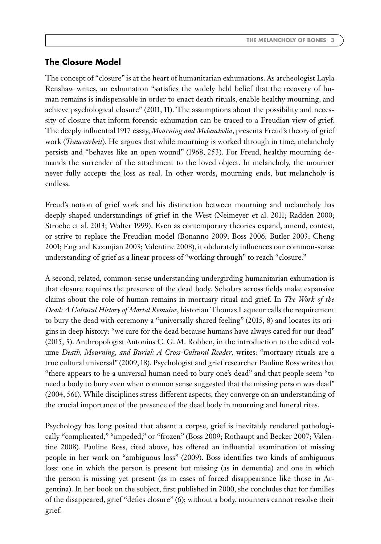## **The Closure Model**

The concept of "closure" is at the heart of humanitarian exhumations. As archeologist Layla Renshaw writes, an exhumation "satisfies the widely held belief that the recovery of human remains is indispensable in order to enact death rituals, enable healthy mourning, and achieve psychological closure" (2011, 11). The assumptions about the possibility and necessity of closure that inform forensic exhumation can be traced to a Freudian view of grief. The deeply influential 1917 essay, *Mourning and Melancholia*, presents Freud's theory of grief work (*Trauerarbeit*). He argues that while mourning is worked through in time, melancholy persists and "behaves like an open wound" (1968, 253). For Freud, healthy mourning demands the surrender of the attachment to the loved object. In melancholy, the mourner never fully accepts the loss as real. In other words, mourning ends, but melancholy is endless.

Freud's notion of grief work and his distinction between mourning and melancholy has deeply shaped understandings of grief in the West (Neimeyer et al. 2011; Radden 2000; Stroebe et al. 2013; Walter 1999). Even as contemporary theories expand, amend, contest, or strive to replace the Freudian model (Bonanno 2009; Boss 2006; Butler 2003; Cheng 2001; Eng and Kazanjian 2003; Valentine 2008), it obdurately influences our common-sense understanding of grief as a linear process of "working through" to reach "closure."

A second, related, common-sense understanding undergirding humanitarian exhumation is that closure requires the presence of the dead body. Scholars across fields make expansive claims about the role of human remains in mortuary ritual and grief. In *The Work of the Dead: A Cultural History of Mortal Remains*, historian Thomas Laqueur calls the requirement to bury the dead with ceremony a "universally shared feeling" (2015, 8) and locates its origins in deep history: "we care for the dead because humans have always cared for our dead" (2015, 5). Anthropologist Antonius C. G. M. Robben, in the introduction to the edited volume *Death, Mourning, and Burial: A Cross-Cultural Reader*, writes: "mortuary rituals are a true cultural universal" (2009, 18). Psychologist and grief researcher Pauline Boss writes that "there appears to be a universal human need to bury one's dead" and that people seem "to need a body to bury even when common sense suggested that the missing person was dead" (2004, 561). While disciplines stress different aspects, they converge on an understanding of the crucial importance of the presence of the dead body in mourning and funeral rites.

Psychology has long posited that absent a corpse, grief is inevitably rendered pathologically "complicated," "impeded," or "frozen" (Boss 2009; Rothaupt and Becker 2007; Valentine 2008). Pauline Boss, cited above, has offered an influential examination of missing people in her work on "ambiguous loss" (2009). Boss identifies two kinds of ambiguous loss: one in which the person is present but missing (as in dementia) and one in which the person is missing yet present (as in cases of forced disappearance like those in Argentina). In her book on the subject, first published in 2000, she concludes that for families of the disappeared, grief "defies closure" (6); without a body, mourners cannot resolve their grief.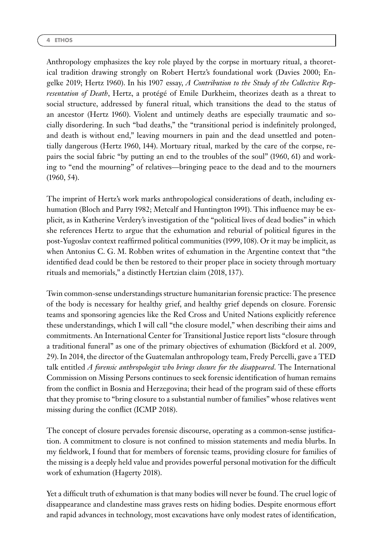Anthropology emphasizes the key role played by the corpse in mortuary ritual, a theoretical tradition drawing strongly on Robert Hertz's foundational work (Davies 2000; Engelke 2019; Hertz 1960). In his 1907 essay, *A Contribution to the Study of the Collective Representation of Death*, Hertz, a protégé of Emile Durkheim, theorizes death as a threat to social structure, addressed by funeral ritual, which transitions the dead to the status of an ancestor (Hertz 1960). Violent and untimely deaths are especially traumatic and socially disordering. In such "bad deaths," the "transitional period is indefinitely prolonged, and death is without end," leaving mourners in pain and the dead unsettled and potentially dangerous (Hertz 1960, 144). Mortuary ritual, marked by the care of the corpse, repairs the social fabric "by putting an end to the troubles of the soul" (1960, 61) and working to "end the mourning" of relatives—bringing peace to the dead and to the mourners (1960, 54).

The imprint of Hertz's work marks anthropological considerations of death, including exhumation (Bloch and Parry 1982; Metcalf and Huntington 1991). This influence may be explicit, as in Katherine Verdery's investigation of the "political lives of dead bodies" in which she references Hertz to argue that the exhumation and reburial of political figures in the post-Yugoslav context reaffirmed political communities (1999, 108). Or it may be implicit, as when Antonius C. G. M. Robben writes of exhumation in the Argentine context that "the identified dead could be then be restored to their proper place in society through mortuary rituals and memorials," a distinctly Hertzian claim (2018, 137).

Twin common-sense understandings structure humanitarian forensic practice: The presence of the body is necessary for healthy grief, and healthy grief depends on closure. Forensic teams and sponsoring agencies like the Red Cross and United Nations explicitly reference these understandings, which I will call "the closure model," when describing their aims and commitments. An International Center for Transitional Justice report lists "closure through a traditional funeral" as one of the primary objectives of exhumation (Bickford et al. 2009, 29). In 2014, the director of the Guatemalan anthropology team, Fredy Percelli, gave a TED talk entitled *A forensic anthropologist who brings closure for the disappeared*. The International Commission on Missing Persons continues to seek forensic identification of human remains from the conflict in Bosnia and Herzegovina; their head of the program said of these efforts that they promise to "bring closure to a substantial number of families" whose relatives went missing during the conflict (ICMP 2018).

The concept of closure pervades forensic discourse, operating as a common-sense justification. A commitment to closure is not confined to mission statements and media blurbs. In my fieldwork, I found that for members of forensic teams, providing closure for families of the missing is a deeply held value and provides powerful personal motivation for the difficult work of exhumation (Hagerty 2018).

Yet a difficult truth of exhumation is that many bodies will never be found. The cruel logic of disappearance and clandestine mass graves rests on hiding bodies. Despite enormous effort and rapid advances in technology, most excavations have only modest rates of identification,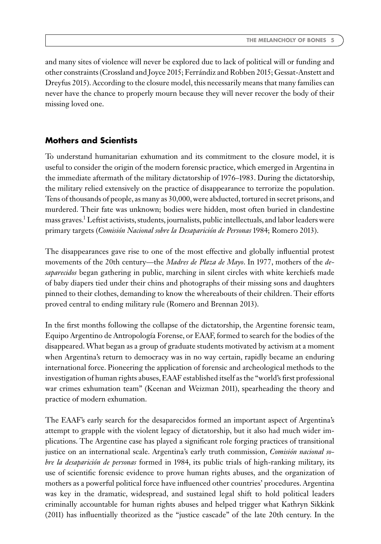and many sites of violence will never be explored due to lack of political will or funding and other constraints (Crossland and Joyce 2015; Ferrándiz and Robben 2015; Gessat-Anstett and Dreyfus 2015). According to the closure model, this necessarily means that many families can never have the chance to properly mourn because they will never recover the body of their missing loved one.

## **Mothers and Scientists**

To understand humanitarian exhumation and its commitment to the closure model, it is useful to consider the origin of the modern forensic practice, which emerged in Argentina in the immediate aftermath of the military dictatorship of 1976–1983. During the dictatorship, the military relied extensively on the practice of disappearance to terrorize the population. Tens of thousands of people, as many as 30,000, were abducted, tortured in secret prisons, and murdered. Their fate was unknown; bodies were hidden, most often buried in clandestine mass graves.1 Leftist activists, students, journalists, public intellectuals, and labor leaders were primary targets (*Comisión Nacional sobre la Desaparición de Personas* 1984; Romero 2013).

The disappearances gave rise to one of the most effective and globally influential protest movements of the 20th century—the *Madres de Plaza de Mayo*. In 1977, mothers of the *desaparecidos* began gathering in public, marching in silent circles with white kerchiefs made of baby diapers tied under their chins and photographs of their missing sons and daughters pinned to their clothes, demanding to know the whereabouts of their children. Their efforts proved central to ending military rule (Romero and Brennan 2013).

In the first months following the collapse of the dictatorship, the Argentine forensic team, Equipo Argentino de Antropología Forense, or EAAF, formed to search for the bodies of the disappeared.What began as a group of graduate students motivated by activism at a moment when Argentina's return to democracy was in no way certain, rapidly became an enduring international force. Pioneering the application of forensic and archeological methods to the investigation of human rights abuses, EAAF established itself as the "world's first professional war crimes exhumation team" (Keenan and Weizman 2011), spearheading the theory and practice of modern exhumation.

The EAAF's early search for the desaparecidos formed an important aspect of Argentina's attempt to grapple with the violent legacy of dictatorship, but it also had much wider implications. The Argentine case has played a significant role forging practices of transitional justice on an international scale. Argentina's early truth commission, *Comisión nacional sobre la desaparición de personas* formed in 1984, its public trials of high-ranking military, its use of scientific forensic evidence to prove human rights abuses, and the organization of mothers as a powerful political force have influenced other countries' procedures. Argentina was key in the dramatic, widespread, and sustained legal shift to hold political leaders criminally accountable for human rights abuses and helped trigger what Kathryn Sikkink (2011) has influentially theorized as the "justice cascade" of the late 20th century. In the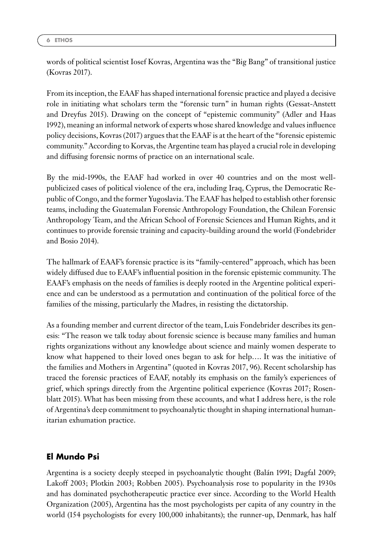words of political scientist Iosef Kovras, Argentina was the "Big Bang" of transitional justice (Kovras 2017).

From its inception, the EAAF has shaped international forensic practice and played a decisive role in initiating what scholars term the "forensic turn" in human rights (Gessat-Anstett and Dreyfus 2015). Drawing on the concept of "epistemic community" (Adler and Haas 1992), meaning an informal network of experts whose shared knowledge and values influence policy decisions, Kovras (2017) argues that the EAAF is at the heart of the "forensic epistemic community." According to Korvas, the Argentine team has played a crucial role in developing and diffusing forensic norms of practice on an international scale.

By the mid-1990s, the EAAF had worked in over 40 countries and on the most wellpublicized cases of political violence of the era, including Iraq, Cyprus, the Democratic Republic of Congo, and the former Yugoslavia. The EAAF has helped to establish other forensic teams, including the Guatemalan Forensic Anthropology Foundation, the Chilean Forensic Anthropology Team, and the African School of Forensic Sciences and Human Rights, and it continues to provide forensic training and capacity-building around the world (Fondebrider and Bosio 2014).

The hallmark of EAAF's forensic practice is its "family-centered" approach, which has been widely diffused due to EAAF's influential position in the forensic epistemic community. The EAAF's emphasis on the needs of families is deeply rooted in the Argentine political experience and can be understood as a permutation and continuation of the political force of the families of the missing, particularly the Madres, in resisting the dictatorship.

As a founding member and current director of the team, Luis Fondebrider describes its genesis: "The reason we talk today about forensic science is because many families and human rights organizations without any knowledge about science and mainly women desperate to know what happened to their loved ones began to ask for help…. It was the initiative of the families and Mothers in Argentina" (quoted in Kovras 2017, 96). Recent scholarship has traced the forensic practices of EAAF, notably its emphasis on the family's experiences of grief, which springs directly from the Argentine political experience (Kovras 2017; Rosenblatt 2015). What has been missing from these accounts, and what I address here, is the role of Argentina's deep commitment to psychoanalytic thought in shaping international humanitarian exhumation practice.

# **El Mundo Psi**

Argentina is a society deeply steeped in psychoanalytic thought (Balán 1991; Dagfal 2009; Lakoff 2003; Plotkin 2003; Robben 2005). Psychoanalysis rose to popularity in the 1930s and has dominated psychotherapeutic practice ever since. According to the World Health Organization (2005), Argentina has the most psychologists per capita of any country in the world (154 psychologists for every 100,000 inhabitants); the runner-up, Denmark, has half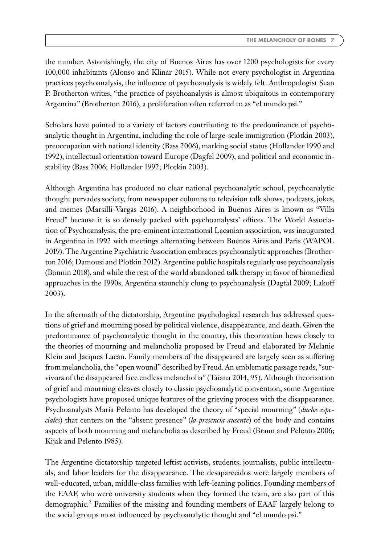the number. Astonishingly, the city of Buenos Aires has over 1200 psychologists for every 100,000 inhabitants (Alonso and Klinar 2015). While not every psychologist in Argentina practices psychoanalysis, the influence of psychoanalysis is widely felt. Anthropologist Sean P. Brotherton writes, "the practice of psychoanalysis is almost ubiquitous in contemporary Argentina" (Brotherton 2016), a proliferation often referred to as "el mundo psi."

Scholars have pointed to a variety of factors contributing to the predominance of psychoanalytic thought in Argentina, including the role of large-scale immigration (Plotkin 2003), preoccupation with national identity (Bass 2006), marking social status (Hollander 1990 and 1992), intellectual orientation toward Europe (Dagfel 2009), and political and economic instability (Bass 2006; Hollander 1992; Plotkin 2003).

Although Argentina has produced no clear national psychoanalytic school, psychoanalytic thought pervades society, from newspaper columns to television talk shows, podcasts, jokes, and memes (Marsilli-Vargas 2016). A neighborhood in Buenos Aires is known as "Villa Freud" because it is so densely packed with psychoanalysts' offices. The World Association of Psychoanalysis, the pre-eminent international Lacanian association, was inaugurated in Argentina in 1992 with meetings alternating between Buenos Aires and Paris (WAPOL 2019). The Argentine Psychiatric Association embraces psychoanalytic approaches (Brotherton 2016; Damousi and Plotkin 2012). Argentine public hospitals regularly use psychoanalysis (Bonnin 2018), and while the rest of the world abandoned talk therapy in favor of biomedical approaches in the 1990s, Argentina staunchly clung to psychoanalysis (Dagfal 2009; Lakoff 2003).

In the aftermath of the dictatorship, Argentine psychological research has addressed questions of grief and mourning posed by political violence, disappearance, and death. Given the predominance of psychoanalytic thought in the country, this theorization hews closely to the theories of mourning and melancholia proposed by Freud and elaborated by Melanie Klein and Jacques Lacan. Family members of the disappeared are largely seen as suffering from melancholia, the "open wound" described by Freud. An emblematic passage reads, "survivors of the disappeared face endless melancholia" (Taiana 2014, 95). Although theorization of grief and mourning cleaves closely to classic psychoanalytic convention, some Argentine psychologists have proposed unique features of the grieving process with the disappearance. Psychoanalysts María Pelento has developed the theory of "special mourning" (*duelos especiales*) that centers on the "absent presence" (*la presencia ausente*) of the body and contains aspects of both mourning and melancholia as described by Freud (Braun and Pelento 2006; Kijak and Pelento 1985).

The Argentine dictatorship targeted leftist activists, students, journalists, public intellectuals, and labor leaders for the disappearance. The desaparecidos were largely members of well-educated, urban, middle-class families with left-leaning politics. Founding members of the EAAF, who were university students when they formed the team, are also part of this demographic.2 Families of the missing and founding members of EAAF largely belong to the social groups most influenced by psychoanalytic thought and "el mundo psi."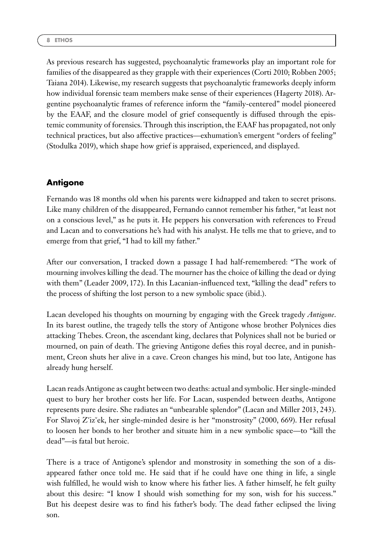As previous research has suggested, psychoanalytic frameworks play an important role for families of the disappeared as they grapple with their experiences (Corti 2010; Robben 2005; Taiana 2014). Likewise, my research suggests that psychoanalytic frameworks deeply inform how individual forensic team members make sense of their experiences (Hagerty 2018). Argentine psychoanalytic frames of reference inform the "family-centered" model pioneered by the EAAF, and the closure model of grief consequently is diffused through the epistemic community of forensics. Through this inscription, the EAAF has propagated, not only technical practices, but also affective practices—exhumation's emergent "orders of feeling" (Stodulka 2019), which shape how grief is appraised, experienced, and displayed.

## **Antigone**

Fernando was 18 months old when his parents were kidnapped and taken to secret prisons. Like many children of the disappeared, Fernando cannot remember his father, "at least not on a conscious level," as he puts it. He peppers his conversation with references to Freud and Lacan and to conversations he's had with his analyst. He tells me that to grieve, and to emerge from that grief, "I had to kill my father."

After our conversation, I tracked down a passage I had half-remembered: "The work of mourning involves killing the dead. The mourner has the choice of killing the dead or dying with them" (Leader 2009, 172). In this Lacanian-influenced text, "killing the dead" refers to the process of shifting the lost person to a new symbolic space (ibid.).

Lacan developed his thoughts on mourning by engaging with the Greek tragedy *Antigone*. In its barest outline, the tragedy tells the story of Antigone whose brother Polynices dies attacking Thebes. Creon, the ascendant king, declares that Polynices shall not be buried or mourned, on pain of death. The grieving Antigone defies this royal decree, and in punishment, Creon shuts her alive in a cave. Creon changes his mind, but too late, Antigone has already hung herself.

Lacan reads Antigone as caught between two deaths: actual and symbolic. Her single-minded quest to bury her brother costs her life. For Lacan, suspended between deaths, Antigone represents pure desire. She radiates an "unbearable splendor" (Lacan and Miller 2013, 243). For Slavoj Zˇizˇek, her single-minded desire is her "monstrosity" (2000, 669). Her refusal to loosen her bonds to her brother and situate him in a new symbolic space—to "kill the dead"—is fatal but heroic.

There is a trace of Antigone's splendor and monstrosity in something the son of a disappeared father once told me. He said that if he could have one thing in life, a single wish fulfilled, he would wish to know where his father lies. A father himself, he felt guilty about this desire: "I know I should wish something for my son, wish for his success." But his deepest desire was to find his father's body. The dead father eclipsed the living son.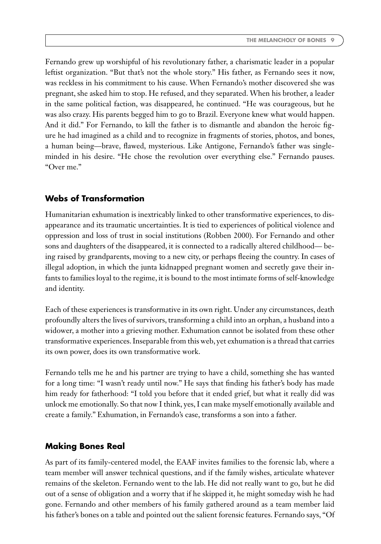Fernando grew up worshipful of his revolutionary father, a charismatic leader in a popular leftist organization. "But that's not the whole story." His father, as Fernando sees it now, was reckless in his commitment to his cause. When Fernando's mother discovered she was pregnant, she asked him to stop. He refused, and they separated. When his brother, a leader in the same political faction, was disappeared, he continued. "He was courageous, but he was also crazy. His parents begged him to go to Brazil. Everyone knew what would happen. And it did." For Fernando, to kill the father is to dismantle and abandon the heroic figure he had imagined as a child and to recognize in fragments of stories, photos, and bones, a human being—brave, flawed, mysterious. Like Antigone, Fernando's father was singleminded in his desire. "He chose the revolution over everything else." Fernando pauses. "Over me."

### **Webs of Transformation**

Humanitarian exhumation is inextricably linked to other transformative experiences, to disappearance and its traumatic uncertainties. It is tied to experiences of political violence and oppression and loss of trust in social institutions (Robben 2000). For Fernando and other sons and daughters of the disappeared, it is connected to a radically altered childhood— being raised by grandparents, moving to a new city, or perhaps fleeing the country. In cases of illegal adoption, in which the junta kidnapped pregnant women and secretly gave their infants to families loyal to the regime, it is bound to the most intimate forms of self-knowledge and identity.

Each of these experiences is transformative in its own right. Under any circumstances, death profoundly alters the lives of survivors, transforming a child into an orphan, a husband into a widower, a mother into a grieving mother. Exhumation cannot be isolated from these other transformative experiences. Inseparable from this web, yet exhumation is a thread that carries its own power, does its own transformative work.

Fernando tells me he and his partner are trying to have a child, something she has wanted for a long time: "I wasn't ready until now." He says that finding his father's body has made him ready for fatherhood: "I told you before that it ended grief, but what it really did was unlock me emotionally. So that now I think, yes, I can make myself emotionally available and create a family." Exhumation, in Fernando's case, transforms a son into a father.

#### **Making Bones Real**

As part of its family-centered model, the EAAF invites families to the forensic lab, where a team member will answer technical questions, and if the family wishes, articulate whatever remains of the skeleton. Fernando went to the lab. He did not really want to go, but he did out of a sense of obligation and a worry that if he skipped it, he might someday wish he had gone. Fernando and other members of his family gathered around as a team member laid his father's bones on a table and pointed out the salient forensic features. Fernando says, "Of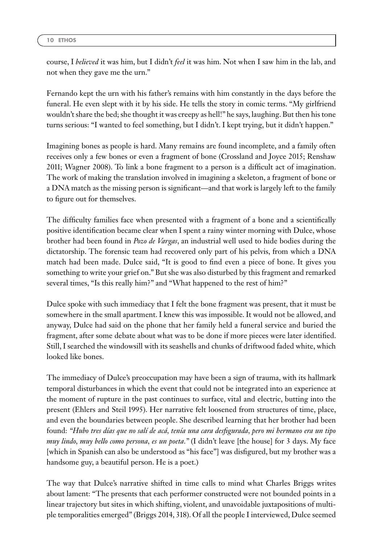course, I *believed* it was him, but I didn't *feel* it was him. Not when I saw him in the lab, and not when they gave me the urn."

Fernando kept the urn with his father's remains with him constantly in the days before the funeral. He even slept with it by his side. He tells the story in comic terms. "My girlfriend wouldn't share the bed; she thought it was creepy as hell!" he says, laughing. But then his tone turns serious: "I wanted to feel something, but I didn't. I kept trying, but it didn't happen."

Imagining bones as people is hard. Many remains are found incomplete, and a family often receives only a few bones or even a fragment of bone (Crossland and Joyce 2015; Renshaw 2011; Wagner 2008). To link a bone fragment to a person is a difficult act of imagination. The work of making the translation involved in imagining a skeleton, a fragment of bone or a DNA match as the missing person is significant—and that work is largely left to the family to figure out for themselves.

The difficulty families face when presented with a fragment of a bone and a scientifically positive identification became clear when I spent a rainy winter morning with Dulce, whose brother had been found in *Pozo de Vargas*, an industrial well used to hide bodies during the dictatorship. The forensic team had recovered only part of his pelvis, from which a DNA match had been made. Dulce said, "It is good to find even a piece of bone. It gives you something to write your grief on." But she was also disturbed by this fragment and remarked several times, "Is this really him?" and "What happened to the rest of him?"

Dulce spoke with such immediacy that I felt the bone fragment was present, that it must be somewhere in the small apartment. I knew this was impossible. It would not be allowed, and anyway, Dulce had said on the phone that her family held a funeral service and buried the fragment, after some debate about what was to be done if more pieces were later identified. Still, I searched the windowsill with its seashells and chunks of driftwood faded white, which looked like bones.

The immediacy of Dulce's preoccupation may have been a sign of trauma, with its hallmark temporal disturbances in which the event that could not be integrated into an experience at the moment of rupture in the past continues to surface, vital and electric, butting into the present (Ehlers and Steil 1995). Her narrative felt loosened from structures of time, place, and even the boundaries between people. She described learning that her brother had been found: *"Hubo tres días que no salí de acá, tenía una cara desfigurada, pero mi hermano era un tipo muy lindo, muy bello como persona, es un poeta."* (I didn't leave [the house] for 3 days. My face [which in Spanish can also be understood as "his face"] was disfigured, but my brother was a handsome guy, a beautiful person. He is a poet.)

The way that Dulce's narrative shifted in time calls to mind what Charles Briggs writes about lament: "The presents that each performer constructed were not bounded points in a linear trajectory but sites in which shifting, violent, and unavoidable juxtapositions of multiple temporalities emerged" (Briggs 2014, 318). Of all the people I interviewed, Dulce seemed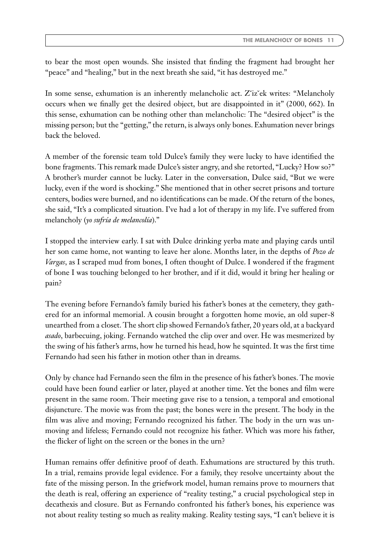to bear the most open wounds. She insisted that finding the fragment had brought her "peace" and "healing," but in the next breath she said, "it has destroyed me."

In some sense, exhumation is an inherently melancholic act. Zˇizˇek writes: "Melancholy occurs when we finally get the desired object, but are disappointed in it" (2000, 662). In this sense, exhumation can be nothing other than melancholic: The "desired object" is the missing person; but the "getting," the return, is always only bones. Exhumation never brings back the beloved.

A member of the forensic team told Dulce's family they were lucky to have identified the bone fragments. This remark made Dulce's sister angry, and she retorted, "Lucky? How so?" A brother's murder cannot be lucky. Later in the conversation, Dulce said, "But we were lucky, even if the word is shocking." She mentioned that in other secret prisons and torture centers, bodies were burned, and no identifications can be made. Of the return of the bones, she said, "It's a complicated situation. I've had a lot of therapy in my life. I've suffered from melancholy (*yo sufría de melancolía*)."

I stopped the interview early. I sat with Dulce drinking yerba mate and playing cards until her son came home, not wanting to leave her alone. Months later, in the depths of *Pozo de Vargas*, as I scraped mud from bones, I often thought of Dulce. I wondered if the fragment of bone I was touching belonged to her brother, and if it did, would it bring her healing or pain?

The evening before Fernando's family buried his father's bones at the cemetery, they gathered for an informal memorial. A cousin brought a forgotten home movie, an old super-8 unearthed from a closet. The short clip showed Fernando's father, 20 years old, at a backyard *asado*, barbecuing, joking. Fernando watched the clip over and over. He was mesmerized by the swing of his father's arms, how he turned his head, how he squinted. It was the first time Fernando had seen his father in motion other than in dreams.

Only by chance had Fernando seen the film in the presence of his father's bones. The movie could have been found earlier or later, played at another time. Yet the bones and film were present in the same room. Their meeting gave rise to a tension, a temporal and emotional disjuncture. The movie was from the past; the bones were in the present. The body in the film was alive and moving; Fernando recognized his father. The body in the urn was unmoving and lifeless; Fernando could not recognize his father. Which was more his father, the flicker of light on the screen or the bones in the urn?

Human remains offer definitive proof of death. Exhumations are structured by this truth. In a trial, remains provide legal evidence. For a family, they resolve uncertainty about the fate of the missing person. In the griefwork model, human remains prove to mourners that the death is real, offering an experience of "reality testing," a crucial psychological step in decathexis and closure. But as Fernando confronted his father's bones, his experience was not about reality testing so much as reality making. Reality testing says, "I can't believe it is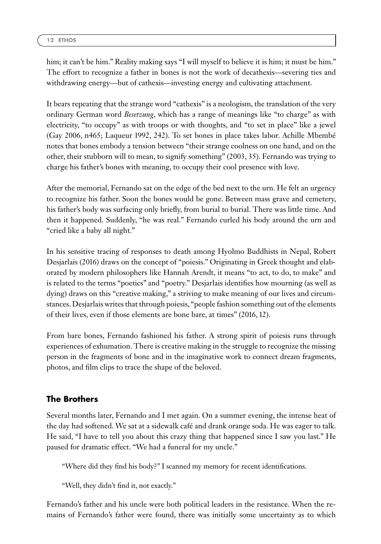him; it can't be him." Reality making says "I will myself to believe it is him; it must be him." The effort to recognize a father in bones is not the work of decathexis—severing ties and withdrawing energy—but of cathexis—investing energy and cultivating attachment.

It bears repeating that the strange word "cathexis" is a neologism, the translation of the very ordinary German word *Besetzung*, which has a range of meanings like "to charge" as with electricity, "to occupy" as with troops or with thoughts, and "to set in place" like a jewel (Gay 2006, n465; Laqueur 1992, 242). To set bones in place takes labor. Achille Mbembé notes that bones embody a tension between "their strange coolness on one hand, and on the other, their stubborn will to mean, to signify something" (2003, 35). Fernando was trying to charge his father's bones with meaning, to occupy their cool presence with love.

After the memorial, Fernando sat on the edge of the bed next to the urn. He felt an urgency to recognize his father. Soon the bones would be gone. Between mass grave and cemetery, his father's body was surfacing only briefly, from burial to burial. There was little time. And then it happened. Suddenly, "he was real." Fernando curled his body around the urn and "cried like a baby all night."

In his sensitive tracing of responses to death among Hyolmo Buddhists in Nepal, Robert Desjarlais (2016) draws on the concept of "poiesis." Originating in Greek thought and elaborated by modern philosophers like Hannah Arendt, it means "to act, to do, to make" and is related to the terms "poetics" and "poetry." Desjarlais identifies how mourning (as well as dying) draws on this "creative making," a striving to make meaning of our lives and circumstances. Desjarlais writes that through poiesis, "people fashion something out of the elements of their lives, even if those elements are bone bare, at times" (2016, 12).

From bare bones, Fernando fashioned his father. A strong spirit of poiesis runs through experiences of exhumation. There is creative making in the struggle to recognize the missing person in the fragments of bone and in the imaginative work to connect dream fragments, photos, and film clips to trace the shape of the beloved.

# **The Brothers**

Several months later, Fernando and I met again. On a summer evening, the intense heat of the day had softened. We sat at a sidewalk café and drank orange soda. He was eager to talk. He said, "I have to tell you about this crazy thing that happened since I saw you last." He paused for dramatic effect. "We had a funeral for my uncle."

"Where did they find his body?" I scanned my memory for recent identifications.

"Well, they didn't find it, not exactly."

Fernando's father and his uncle were both political leaders in the resistance. When the remains of Fernando's father were found, there was initially some uncertainty as to which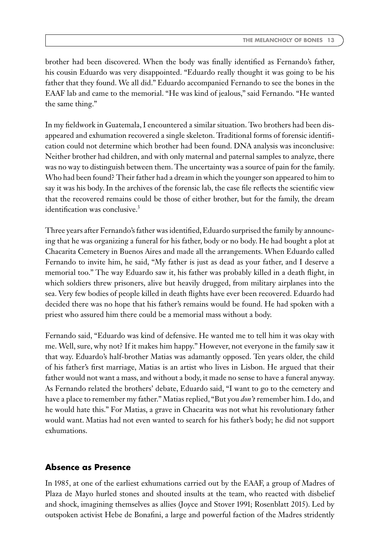brother had been discovered. When the body was finally identified as Fernando's father, his cousin Eduardo was very disappointed. "Eduardo really thought it was going to be his father that they found. We all did." Eduardo accompanied Fernando to see the bones in the EAAF lab and came to the memorial. "He was kind of jealous," said Fernando. "He wanted the same thing."

In my fieldwork in Guatemala, I encountered a similar situation. Two brothers had been disappeared and exhumation recovered a single skeleton. Traditional forms of forensic identification could not determine which brother had been found. DNA analysis was inconclusive: Neither brother had children, and with only maternal and paternal samples to analyze, there was no way to distinguish between them. The uncertainty was a source of pain for the family. Who had been found? Their father had a dream in which the younger son appeared to him to say it was his body. In the archives of the forensic lab, the case file reflects the scientific view that the recovered remains could be those of either brother, but for the family, the dream identification was conclusive.<sup>3</sup>

Three years after Fernando's father was identified, Eduardo surprised the family by announcing that he was organizing a funeral for his father, body or no body. He had bought a plot at Chacarita Cemetery in Buenos Aires and made all the arrangements. When Eduardo called Fernando to invite him, he said, "My father is just as dead as your father, and I deserve a memorial too." The way Eduardo saw it, his father was probably killed in a death flight, in which soldiers threw prisoners, alive but heavily drugged, from military airplanes into the sea. Very few bodies of people killed in death flights have ever been recovered. Eduardo had decided there was no hope that his father's remains would be found. He had spoken with a priest who assured him there could be a memorial mass without a body.

Fernando said, "Eduardo was kind of defensive. He wanted me to tell him it was okay with me. Well, sure, why not? If it makes him happy." However, not everyone in the family saw it that way. Eduardo's half-brother Matias was adamantly opposed. Ten years older, the child of his father's first marriage, Matias is an artist who lives in Lisbon. He argued that their father would not want a mass, and without a body, it made no sense to have a funeral anyway. As Fernando related the brothers' debate, Eduardo said, "I want to go to the cemetery and have a place to remember my father." Matias replied, "But you *don't* remember him. I do, and he would hate this." For Matias, a grave in Chacarita was not what his revolutionary father would want. Matias had not even wanted to search for his father's body; he did not support exhumations.

#### **Absence as Presence**

In 1985, at one of the earliest exhumations carried out by the EAAF, a group of Madres of Plaza de Mayo hurled stones and shouted insults at the team, who reacted with disbelief and shock, imagining themselves as allies (Joyce and Stover 1991; Rosenblatt 2015). Led by outspoken activist Hebe de Bonafini, a large and powerful faction of the Madres stridently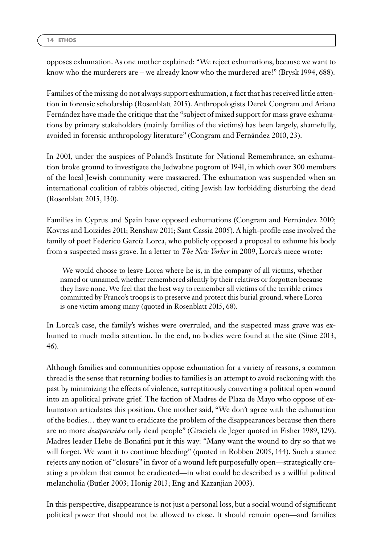opposes exhumation. As one mother explained: "We reject exhumations, because we want to know who the murderers are – we already know who the murdered are!" (Brysk 1994, 688).

Families of the missing do not always support exhumation, a fact that has received little attention in forensic scholarship (Rosenblatt 2015). Anthropologists Derek Congram and Ariana Fernández have made the critique that the "subject of mixed support for mass grave exhumations by primary stakeholders (mainly families of the victims) has been largely, shamefully, avoided in forensic anthropology literature" (Congram and Fernández 2010, 23).

In 2001, under the auspices of Poland's Institute for National Remembrance, an exhumation broke ground to investigate the Jedwabne pogrom of 1941, in which over 300 members of the local Jewish community were massacred. The exhumation was suspended when an international coalition of rabbis objected, citing Jewish law forbidding disturbing the dead (Rosenblatt 2015, 130).

Families in Cyprus and Spain have opposed exhumations (Congram and Fernández 2010; Kovras and Loizides 2011; Renshaw 2011; Sant Cassia 2005). A high-profile case involved the family of poet Federico García Lorca, who publicly opposed a proposal to exhume his body from a suspected mass grave. In a letter to *The New Yorker* in 2009, Lorca's niece wrote:

We would choose to leave Lorca where he is, in the company of all victims, whether named or unnamed, whether remembered silently by their relatives or forgotten because they have none. We feel that the best way to remember all victims of the terrible crimes committed by Franco's troops is to preserve and protect this burial ground, where Lorca is one victim among many (quoted in Rosenblatt 2015, 68).

In Lorca's case, the family's wishes were overruled, and the suspected mass grave was exhumed to much media attention. In the end, no bodies were found at the site (Sime 2013, 46).

Although families and communities oppose exhumation for a variety of reasons, a common thread is the sense that returning bodies to families is an attempt to avoid reckoning with the past by minimizing the effects of violence, surreptitiously converting a political open wound into an apolitical private grief. The faction of Madres de Plaza de Mayo who oppose of exhumation articulates this position. One mother said, "We don't agree with the exhumation of the bodies… they want to eradicate the problem of the disappearances because then there are no more *desaparecidos* only dead people" (Graciela de Jeger quoted in Fisher 1989, 129). Madres leader Hebe de Bonafini put it this way: "Many want the wound to dry so that we will forget. We want it to continue bleeding" (quoted in Robben 2005, 144). Such a stance rejects any notion of "closure" in favor of a wound left purposefully open—strategically creating a problem that cannot be eradicated—in what could be described as a willful political melancholia (Butler 2003; Honig 2013; Eng and Kazanjian 2003).

In this perspective, disappearance is not just a personal loss, but a social wound of significant political power that should not be allowed to close. It should remain open—and families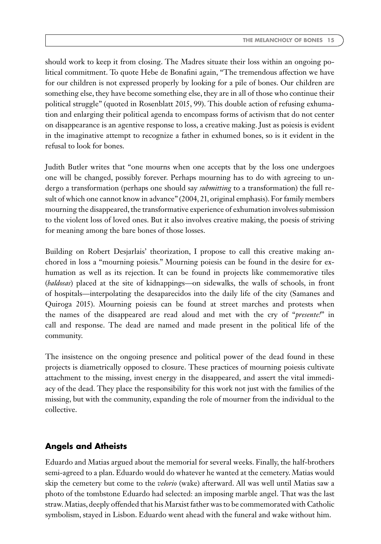should work to keep it from closing. The Madres situate their loss within an ongoing political commitment. To quote Hebe de Bonafini again, "The tremendous affection we have for our children is not expressed properly by looking for a pile of bones. Our children are something else, they have become something else, they are in all of those who continue their political struggle" (quoted in Rosenblatt 2015, 99). This double action of refusing exhumation and enlarging their political agenda to encompass forms of activism that do not center on disappearance is an agentive response to loss, a creative making. Just as poiesis is evident in the imaginative attempt to recognize a father in exhumed bones, so is it evident in the refusal to look for bones.

Judith Butler writes that "one mourns when one accepts that by the loss one undergoes one will be changed, possibly forever. Perhaps mourning has to do with agreeing to undergo a transformation (perhaps one should say *submitting* to a transformation) the full result of which one cannot know in advance" (2004, 21, original emphasis). For family members mourning the disappeared, the transformative experience of exhumation involves submission to the violent loss of loved ones. But it also involves creative making, the poesis of striving for meaning among the bare bones of those losses.

Building on Robert Desjarlais' theorization, I propose to call this creative making anchored in loss a "mourning poiesis." Mourning poiesis can be found in the desire for exhumation as well as its rejection. It can be found in projects like commemorative tiles (*baldosas*) placed at the site of kidnappings—on sidewalks, the walls of schools, in front of hospitals—interpolating the desaparecidos into the daily life of the city (Samanes and Quiroga 2015). Mourning poiesis can be found at street marches and protests when the names of the disappeared are read aloud and met with the cry of "*presente!*" in call and response. The dead are named and made present in the political life of the community.

The insistence on the ongoing presence and political power of the dead found in these projects is diametrically opposed to closure. These practices of mourning poiesis cultivate attachment to the missing, invest energy in the disappeared, and assert the vital immediacy of the dead. They place the responsibility for this work not just with the families of the missing, but with the community, expanding the role of mourner from the individual to the collective.

## **Angels and Atheists**

Eduardo and Matias argued about the memorial for several weeks. Finally, the half-brothers semi-agreed to a plan. Eduardo would do whatever he wanted at the cemetery. Matias would skip the cemetery but come to the *velorio* (wake) afterward. All was well until Matias saw a photo of the tombstone Eduardo had selected: an imposing marble angel. That was the last straw.Matias, deeply offended that his Marxist father was to be commemorated with Catholic symbolism, stayed in Lisbon. Eduardo went ahead with the funeral and wake without him.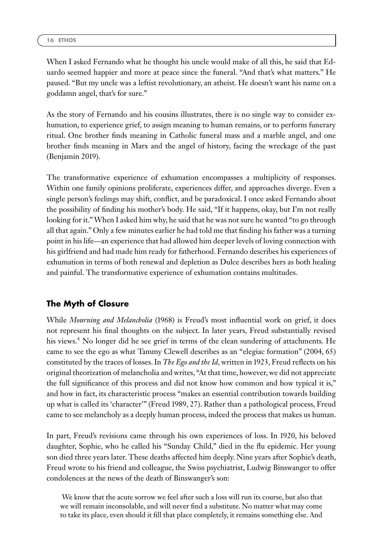When I asked Fernando what he thought his uncle would make of all this, he said that Eduardo seemed happier and more at peace since the funeral. "And that's what matters." He paused. "But my uncle was a leftist revolutionary, an atheist. He doesn't want his name on a goddamn angel, that's for sure."

As the story of Fernando and his cousins illustrates, there is no single way to consider exhumation, to experience grief, to assign meaning to human remains, or to perform funerary ritual. One brother finds meaning in Catholic funeral mass and a marble angel, and one brother finds meaning in Marx and the angel of history, facing the wreckage of the past (Benjamin 2019).

The transformative experience of exhumation encompasses a multiplicity of responses. Within one family opinions proliferate, experiences differ, and approaches diverge. Even a single person's feelings may shift, conflict, and be paradoxical. I once asked Fernando about the possibility of finding his mother's body. He said, "If it happens, okay, but I'm not really looking for it."When I asked him why, he said that he was not sure he wanted "to go through all that again." Only a few minutes earlier he had told me that finding his father was a turning point in his life—an experience that had allowed him deeper levels of loving connection with his girlfriend and had made him ready for fatherhood. Fernando describes his experiences of exhumation in terms of both renewal and depletion as Dulce describes hers as both healing and painful. The transformative experience of exhumation contains multitudes.

## **The Myth of Closure**

While *Mourning and Melancholia* (1968) is Freud's most influential work on grief, it does not represent his final thoughts on the subject. In later years, Freud substantially revised his views.<sup>4</sup> No longer did he see grief in terms of the clean sundering of attachments. He came to see the ego as what Tammy Clewell describes as an "elegiac formation" (2004, 65) constituted by the traces of losses. In *The Ego and the Id*, written in 1923, Freud reflects on his original theorization of melancholia and writes, "At that time, however, we did not appreciate the full significance of this process and did not know how common and how typical it is," and how in fact, its characteristic process "makes an essential contribution towards building up what is called its 'character'" (Freud 1989, 27). Rather than a pathological process, Freud came to see melancholy as a deeply human process, indeed the process that makes us human.

In part, Freud's revisions came through his own experiences of loss. In 1920, his beloved daughter, Sophie, who he called his "Sunday Child," died in the flu epidemic. Her young son died three years later. These deaths affected him deeply. Nine years after Sophie's death, Freud wrote to his friend and colleague, the Swiss psychiatrist, Ludwig Binswanger to offer condolences at the news of the death of Binswanger's son:

We know that the acute sorrow we feel after such a loss will run its course, but also that we will remain inconsolable, and will never find a substitute. No matter what may come to take its place, even should it fill that place completely, it remains something else. And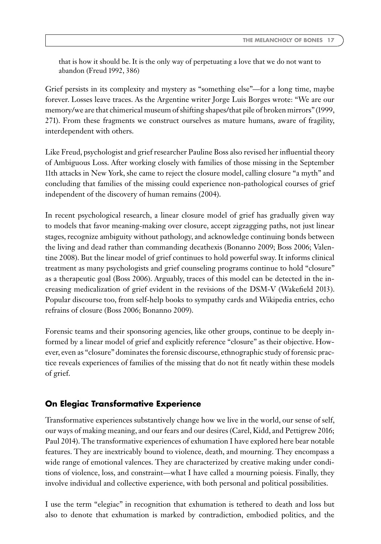that is how it should be. It is the only way of perpetuating a love that we do not want to abandon (Freud 1992, 386)

Grief persists in its complexity and mystery as "something else"—for a long time, maybe forever. Losses leave traces. As the Argentine writer Jorge Luis Borges wrote: "We are our memory/we are that chimerical museum of shifting shapes/that pile of broken mirrors" (1999, 271). From these fragments we construct ourselves as mature humans, aware of fragility, interdependent with others.

Like Freud, psychologist and grief researcher Pauline Boss also revised her influential theory of Ambiguous Loss. After working closely with families of those missing in the September 11th attacks in New York, she came to reject the closure model, calling closure "a myth" and concluding that families of the missing could experience non-pathological courses of grief independent of the discovery of human remains (2004).

In recent psychological research, a linear closure model of grief has gradually given way to models that favor meaning-making over closure, accept zigzagging paths, not just linear stages, recognize ambiguity without pathology, and acknowledge continuing bonds between the living and dead rather than commanding decathexis (Bonanno 2009; Boss 2006; Valentine 2008). But the linear model of grief continues to hold powerful sway. It informs clinical treatment as many psychologists and grief counseling programs continue to hold "closure" as a therapeutic goal (Boss 2006). Arguably, traces of this model can be detected in the increasing medicalization of grief evident in the revisions of the DSM-V (Wakefield 2013). Popular discourse too, from self-help books to sympathy cards and Wikipedia entries, echo refrains of closure (Boss 2006; Bonanno 2009).

Forensic teams and their sponsoring agencies, like other groups, continue to be deeply informed by a linear model of grief and explicitly reference "closure" as their objective. However, even as "closure" dominates the forensic discourse, ethnographic study of forensic practice reveals experiences of families of the missing that do not fit neatly within these models of grief.

## **On Elegiac Transformative Experience**

Transformative experiences substantively change how we live in the world, our sense of self, our ways of making meaning, and our fears and our desires (Carel, Kidd, and Pettigrew 2016; Paul 2014). The transformative experiences of exhumation I have explored here bear notable features. They are inextricably bound to violence, death, and mourning. They encompass a wide range of emotional valences. They are characterized by creative making under conditions of violence, loss, and constraint—what I have called a mourning poiesis. Finally, they involve individual and collective experience, with both personal and political possibilities.

I use the term "elegiac" in recognition that exhumation is tethered to death and loss but also to denote that exhumation is marked by contradiction, embodied politics, and the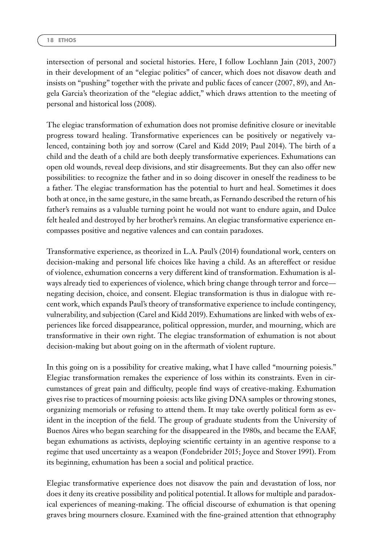intersection of personal and societal histories. Here, I follow Lochlann Jain (2013, 2007) in their development of an "elegiac politics" of cancer, which does not disavow death and insists on "pushing" together with the private and public faces of cancer (2007, 89), and Angela Garcia's theorization of the "elegiac addict," which draws attention to the meeting of personal and historical loss (2008).

The elegiac transformation of exhumation does not promise definitive closure or inevitable progress toward healing. Transformative experiences can be positively or negatively valenced, containing both joy and sorrow (Carel and Kidd 2019; Paul 2014). The birth of a child and the death of a child are both deeply transformative experiences. Exhumations can open old wounds, reveal deep divisions, and stir disagreements. But they can also offer new possibilities: to recognize the father and in so doing discover in oneself the readiness to be a father. The elegiac transformation has the potential to hurt and heal. Sometimes it does both at once, in the same gesture, in the same breath, as Fernando described the return of his father's remains as a valuable turning point he would not want to endure again, and Dulce felt healed and destroyed by her brother's remains. An elegiac transformative experience encompasses positive and negative valences and can contain paradoxes.

Transformative experience, as theorized in L.A. Paul's (2014) foundational work, centers on decision-making and personal life choices like having a child. As an aftereffect or residue of violence, exhumation concerns a very different kind of transformation. Exhumation is always already tied to experiences of violence, which bring change through terror and force negating decision, choice, and consent. Elegiac transformation is thus in dialogue with recent work, which expands Paul's theory of transformative experience to include contingency, vulnerability, and subjection (Carel and Kidd 2019). Exhumations are linked with webs of experiences like forced disappearance, political oppression, murder, and mourning, which are transformative in their own right. The elegiac transformation of exhumation is not about decision-making but about going on in the aftermath of violent rupture.

In this going on is a possibility for creative making, what I have called "mourning poiesis." Elegiac transformation remakes the experience of loss within its constraints. Even in circumstances of great pain and difficulty, people find ways of creative-making. Exhumation gives rise to practices of mourning poiesis: acts like giving DNA samples or throwing stones, organizing memorials or refusing to attend them. It may take overtly political form as evident in the inception of the field. The group of graduate students from the University of Buenos Aires who began searching for the disappeared in the 1980s, and became the EAAF, began exhumations as activists, deploying scientific certainty in an agentive response to a regime that used uncertainty as a weapon (Fondebrider 2015; Joyce and Stover 1991). From its beginning, exhumation has been a social and political practice.

Elegiac transformative experience does not disavow the pain and devastation of loss, nor does it deny its creative possibility and political potential. It allows for multiple and paradoxical experiences of meaning-making. The official discourse of exhumation is that opening graves bring mourners closure. Examined with the fine-grained attention that ethnography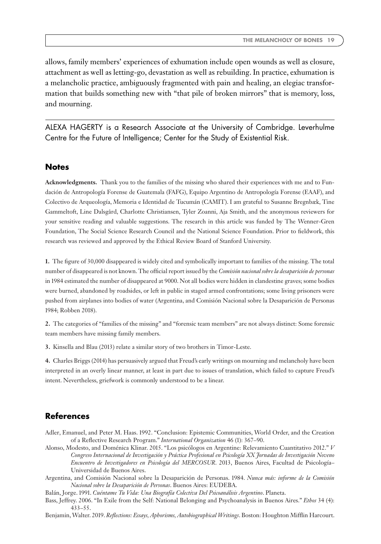allows, family members' experiences of exhumation include open wounds as well as closure, attachment as well as letting-go, devastation as well as rebuilding. In practice, exhumation is a melancholic practice, ambiguously fragmented with pain and healing, an elegiac transformation that builds something new with "that pile of broken mirrors" that is memory, loss, and mourning.

ALEXA HAGERTY is a Research Associate at the University of Cambridge. Leverhulme Centre for the Future of Intelligence; Center for the Study of Existential Risk.

#### **Notes**

**Acknowledgments.** Thank you to the families of the missing who shared their experiences with me and to Fundación de Antropología Forense de Guatemala (FAFG), Equipo Argentino de Antropología Forense (EAAF), and Colectivo de Arqueología, Memoria e Identidad de Tucumán (CAMIT). I am grateful to Susanne Bregnbæk, Tine Gammeltoft, Line Dalsgård, Charlotte Christiansen, Tyler Zoanni, Aja Smith, and the anonymous reviewers for your sensitive reading and valuable suggestions. The research in this article was funded by The Wenner-Gren Foundation, The Social Science Research Council and the National Science Foundation. Prior to fieldwork, this research was reviewed and approved by the Ethical Review Board of Stanford University.

**1.** The figure of 30,000 disappeared is widely cited and symbolically important to families of the missing. The total number of disappeared is not known. The official report issued by the *Comisión nacional sobre la desaparición de personas* in 1984 estimated the number of disappeared at 9000. Not all bodies were hidden in clandestine graves; some bodies were burned, abandoned by roadsides, or left in public in staged armed confrontations; some living prisoners were pushed from airplanes into bodies of water (Argentina, and Comisión Nacional sobre la Desaparición de Personas 1984; Robben 2018).

**2.** The categories of "families of the missing" and "forensic team members" are not always distinct: Some forensic team members have missing family members.

**3.** Kinsella and Blau (2013) relate a similar story of two brothers in Timor-Leste.

**4.** Charles Briggs (2014) has persuasively argued that Freud's early writings on mourning and melancholy have been interpreted in an overly linear manner, at least in part due to issues of translation, which failed to capture Freud's intent. Nevertheless, griefwork is commonly understood to be a linear.

#### **References**

- Adler, Emanuel, and Peter M. Haas. 1992. "Conclusion: Epistemic Communities, World Order, and the Creation of a Reflective Research Program." *International Organization* 46 (1): 367–90.
- Alonso, Modesto, and Doménica Klinar. 2015. "Los psicólogos en Argentine: Relevamiento Cuantitativo 2012." *V Congreso Internacional de Investigación y Práctica Profesional en Psicología XX Jornadas de Investigación Noveno Encuentro de Investigadores en Psicología del MERCOSUR*. 2013, Buenos Aires, Facultad de Psicología– Universidad de Buenos Aires.
- Argentina, and Comisión Nacional sobre la Desaparición de Personas. 1984. *Nunca más: informe de la Comisión Nacional sobre la Desaparición de Personas*. Buenos Aires: EUDEBA.
- Balán, Jorge. 1991. *Cuéntame Tu Vida: Una Biografía Colectiva Del Psicoanálisis Argentino*. Planeta.
- Bass, Jeffrey. 2006. "In Exile from the Self: National Belonging and Psychoanalysis in Buenos Aires." *Ethos* 34 (4): 433–55.

Benjamin,Walter. 2019. *Reflections: Essays, Aphorisms, Autobiographical Writings*. Boston: Houghton Mifflin Harcourt.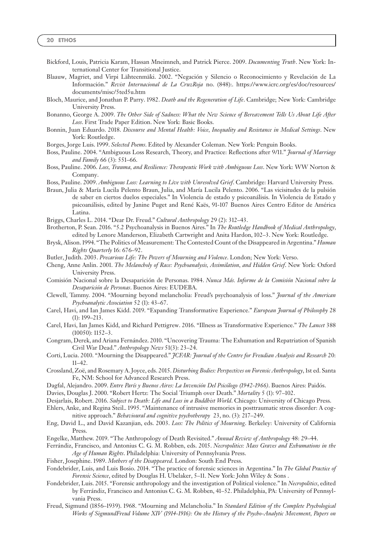- Bickford, Louis, Patricia Karam, Hassan Mneimneh, and Patrick Pierce. 2009. *Documenting Truth*. New York: International Center for Transitional Justice.
- Blaauw, Magriet, and Virpi Lähteenmäki. 2002. "Negación y Silencio o Reconocimiento y Revelación de La Información." *Revist Internacional de La CruzRoja* no. (848):. [https://www.icrc.org/es/doc/resources/](https://www.icrc.org/es/doc/resources/documents/misc/5ted5u.htm) [documents/misc/5ted5u.htm](https://www.icrc.org/es/doc/resources/documents/misc/5ted5u.htm)
- Bloch, Maurice, and Jonathan P. Parry. 1982. *Death and the Regeneration of Life*. Cambridge; New York: Cambridge University Press.
- Bonanno, George A. 2009. *The Other Side of Sadness: What the New Science of Bereavement Tells Us About Life After Loss*. First Trade Paper Edition. New York: Basic Books.
- Bonnin, Juan Eduardo. 2018. *Discourse and Mental Health: Voice, Inequality and Resistance in Medical Settings*. New York: Routledge.
- Borges, Jorge Luis. 1999. *Selected Poems*. Edited by Alexander Coleman. New York: Penguin Books.
- Boss, Pauline. 2004. "Ambiguous Loss Research, Theory, and Practice: Reflections after 9/11." *Journal of Marriage and Family* 66 (3): 551–66.
- Boss, Pauline. 2006. *Loss, Trauma, and Resilience: Therapeutic Work with Ambiguous Loss*. New York: WW Norton & Company.
- Boss, Pauline. 2009. *Ambiguous Loss: Learning to Live with Unresolved Grief*. Cambridge: Harvard University Press.
- Braun, Julia & María Lucila Pelento Braun, Julia, and María Lucila Pelento. 2006. "Las vicisitudes de la pulsión de saber en ciertos duelos especiales." In Violencia de estado y psicoanálisis. In Violencia de Estado y psicoanálisis, edited by Janine Puget and René Kaës, 91-107 Buenos Aires Centro Editor de América Latina.
- Briggs, Charles L. 2014. "Dear Dr. Freud." *Cultural Anthropology* 29 (2): 312–43.
- Brotherton, P. Sean. 2016. "5.2 Psychoanalysis in Buenos Aires." In *The Routledge Handbook of Medical Anthropology*, edited by Lenore Manderson, Elizabeth Cartwright and Anita Hardon, 102–3. New York: Routledge.
- Brysk, Alison. 1994. "The Politics of Measurement: The Contested Count of the Disappeared in Argentina."*Human Rights Quarterly* 16: 676–92.
- Butler, Judith. 2003. *Precarious Life: The Powers of Mourning and Violence*. London; New York: Verso.
- Cheng, Anne Anlin. 2001. *The Melancholy of Race: Psychoanalysis, Assimilation, and Hidden Grief*. New York: Oxford University Press.
- Comisión Nacional sobre la Desaparición de Personas. 1984. *Nunca Más. Informe de la Comisión Nacional sobre la Desaparición de Personas*. Buenos Aires: EUDEBA.
- Clewell, Tammy. 2004. "Mourning beyond melancholia: Freud's psychoanalysis of loss." *Journal of the American Psychoanalytic Association* 52 (1): 43–67.
- Carel, Havi, and Ian James Kidd. 2019. "Expanding Transformative Experience." *European Journal of Philosophy* 28 (1): 199–213.
- Carel, Havi, Ian James Kidd, and Richard Pettigrew. 2016. "Illness as Transformative Experience." *The Lancet* 388 (10050): 1152–3.
- Congram, Derek, and Ariana Fernández. 2010. "Uncovering Trauma: The Exhumation and Repatriation of Spanish Civil War Dead." *Anthropology News* 51(3): 23–24.
- Corti, Lucia. 2010. "Mourning the Disappeared." *JCFAR: Journal of the Centre for Freudian Analysis and Research* 20: 11–42.
- Crossland, Zoë, and Rosemary A. Joyce, eds. 2015. *Disturbing Bodies: Perspectives on Forensic Anthropology*, 1st ed. Santa Fe, NM: School for Advanced Research Press.
- Dagfal, Alejandro. 2009. *Entre París y Buenos Aires: La Invención Del Psicólogo (1942-1966)*. Buenos Aires: Paidós.
- Davies, Douglas J. 2000. "Robert Hertz: The Social Triumph over Death." *Mortality* 5 (1): 97–102.
- Desjarlais, Robert. 2016. *Subject to Death: Life and Loss in a Buddhist World*. Chicago: University of Chicago Press.
- Ehlers, Anke, and Regina Steil.. 1995. "Maintenance of intrusive memories in posttraumatic stress disorder: A cognitive approach." *Behavioural and cognitive psychotherapy* 23, no. (3): 217–249.
- Eng, David L., and David Kazanjian, eds. 2003. *Loss: The Politics of Mourning*. Berkeley: University of California Press.
- Engelke, Matthew. 2019. "The Anthropology of Death Revisited." *Annual Review of Anthropology* 48: 29–44.
- Ferrándiz, Francisco, and Antonius C. G. M. Robben, eds. 2015. *Necropolitics: Mass Graves and Exhumations in the Age of Human Rights*. Philadelphia: University of Pennsylvania Press.
- Fisher, Josephine. 1989. *Mothers of the Disappeared*. London: South End Press.
- Fondebrider, Luis, and Luis Bosio. 2014. "The practice of forensic sciences in Argentina." In *The Global Practice of Forensic Science*, edited by Douglas H. Ubelaker, 5–11. New York: John Wiley & Sons .
- Fondebrider, Luis. 2015. "Forensic anthropology and the investigation of Political violence." In *Necropolitics*, edited by Ferrándiz, Francisco and Antonius C. G. M. Robben, 41–52. Philadelphia, PA: University of Pennsylvania Press.
- Freud, Sigmund (1856–1939). 1968. "Mourning and Melancholia." In *Standard Edition of the Complete Psychological Works of SigmundFreud Volume XIV (1914-1916): On the History of the Psycho-Analytic Movement, Papers on*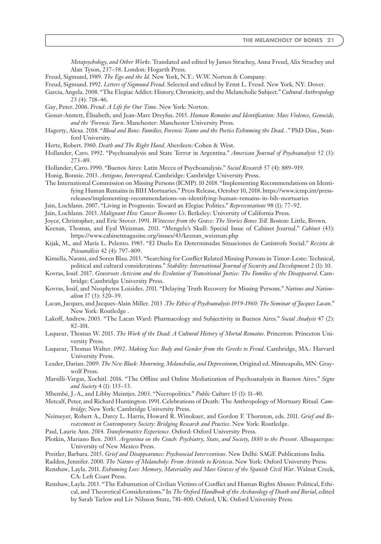*Metapsychology, and Other Works.* Translated and edited by James Strachey, Anna Freud, Alix Strachey and Alan Tyson, 237–58. London: Hogarth Press.

Freud, Sigmund, 1989. *The Ego and the Id*. New York, N.Y.: W.W. Norton & Company.

Freud, Sigmund. 1992. *Letters of Sigmund Freud*. Selected and edited by Ernst L. Freud. New York, NY: Dover.

- Garcia, Angela. 2008. "The Elegiac Addict: History, Chronicity, and the Melancholic Subject."*Cultural Anthropology* 23 (4): 718–46.
- Gay, Peter. 2006. *Freud: A Life for Our Time*. New York: Norton.
- Gessat-Anstett, Élisabeth, and Jean-Marc Dreyfus. 2015. *Human Remains and Identification: Mass Violence, Genocide, and the 'Forensic Turn*. Manchester: Manchester University Press.
- Hagerty, Alexa. 2018. "*Blood and Bone: Families, Forensic Teams and the Poetics Exhuming the Dead*. *."* PhD Diss., Stanford University.
- Hertz, Robert. 1960. *Death and The Right Hand*. Aberdeen: Cohen & West.
- Hollander, Caro. 1992. "Psychoanalysis and State Terror in Argentina." *American Journal of Psychoanalysis* 52 (3): 273–89.
- Hollander, Caro. 1990. "Buenos Aires: Latin Mecca of Psychoanalysis." *Social Research* 57 (4): 889–919.

Honig, Bonnie. 2013. *Antigone, Interrupted*. Cambridge: Cambridge University Press.

- The International Commission on Missing Persons (ICMP). 10 2018. "Implementing Recommendations on Identifying Human Remains in BIH Mortuaries." Press Release, October 10, 2018. [https://www.icmp.int/press](https://www.icmp.int/press-releases/implementing-recommendations-on-identifying-human-remains-in-bih-mortuaries)[releases/implementing-recommendations-on-identifying-human-remains-in-bih-mortuaries](https://www.icmp.int/press-releases/implementing-recommendations-on-identifying-human-remains-in-bih-mortuaries)
- Jain, Lochlann. 2007. "Living in Prognosis: Toward an Elegiac Politics." *Representations* 98 (1): 77–92.
- Jain, Lochlann. 2013. *Malignant How Cancer Becomes Us*. Berkeley: University of California Press.
- Joyce, Christopher, and Eric Stover. 1991. *Witnesses from the Grave: The Stories Bones Tell*. Boston: Little, Brown.
- Keenan, Thomas, and Eyal Weizman. 2011. "Mengele's Skull: Special Issue of Cabinet Journal." *Cabinet* (43): [https://www.cabinetmagazine.org/issues/43/keenan\\_weizman.php](https://www.cabinetmagazine.org/issues/43/keenan_weizman.php)
- Kijak, M., and María L. Pelento. 1985. "El Duelo En Determinadas Situaciones de Catástrofe Social." *Revista de Psicoanálisis* 42 (4): 797–809.
- Kinsella, Naomi, and Soren Blau. 2013. "Searching for Conflict Related Missing Persons in Timor-Leste: Technical, political and cultural considerations." *Stability: International Journal of Security and Development* 2 (1): 10.
- Kovras, Iosif. 2017. *Grassroots Activism and the Evolution of Transitional Justice: The Families of the Disappeared*. Cambridge: Cambridge University Press.
- Kovras, Iosif, and Neophytos Loizides. 2011. "Delaying Truth Recovery for Missing Persons." *Nations and Nationalism* 17 (3): 520–39.
- Lacan, Jacques, and Jacques-Alain Miller. 2013 .*The Ethics of Psychoanalysis 1959-1960: The Seminar of Jacques Lacan*." New York: Routledge .
- Lakoff, Andrew. 2003. "The Lacan Ward: Pharmacology and Subjectivity in Buenos Aires." *Social Analysis* 47 (2): 82–101.
- Laqueur, Thomas W. 2015. *The Work of the Dead: A Cultural History of Mortal Remains*. Princeton: Princeton University Press.
- Laqueur, Thomas Walter. 1992. *Making Sex: Body and Gender from the Greeks to Freud*. Cambridge, MA.: Harvard University Press.
- Leader, Darian. 2009. *The New Black: Mourning, Melancholia, and Depressionm*, Original ed. Minneapolis, MN: Graywolf Press.
- Marsilli-Vargas, Xochitl. 2016. "The Offline and Online Mediatization of Psychoanalysis in Buenos Aires." *Signs and Society* 4 (1): 135–53.
- Mbembé, J.-A., and Libby Meintjes. 2003. "Necropolitics." *Public Culture* 15 (1): 11–40.
- Metcalf, Peter, and Richard Huntington. 1991. Celebrations of Death: The Anthropology of Mortuary Ritual*. Cambridge*; New York: Cambridge University Press.
- Neimeyer, Robert A., Darcy L. Harris, Howard R. Winokuer, and Gordon F. Thornton, eds. 2011. *Grief and Bereavement in Contemporary Society: Bridging Research and Practice*. New York: Routledge.
- Paul, Laurie Ann. 2014. *Transformative Experience*. Oxford: Oxford University Press.
- Plotkin, Mariano Ben. 2003. *Argentina on the Couch: Psychiatry, State, and Society, 1880 to the Present*. Albuquerque: University of New Mexico Press.
- Preitler, Barbara. 2015. *Grief and Disappearance: Psychosocial Interventions*. New Delhi: SAGE Publications India.
- Radden, Jennifer. 2000. *The Nature of Melancholy: From Aristotle to Kristeva*. New York: Oxford University Press.
- Renshaw, Layla. 2011. *Exhuming Loss: Memory, Materiality and Mass Graves of the Spanish Civil War*. Walnut Creek, CA: Left Coast Press.
- Renshaw, Layla. 2013. "The Exhumation of Civilian Victims of Conflict and Human Rights Abuses: Political, Ethical, and Theoretical Considerations." In *The Oxford Handbook of the Archaeology of Death and Burial*, edited by Sarah Tarlow and Liv Nilsson Stutz, 781–800. Oxford, UK: Oxford University Press.